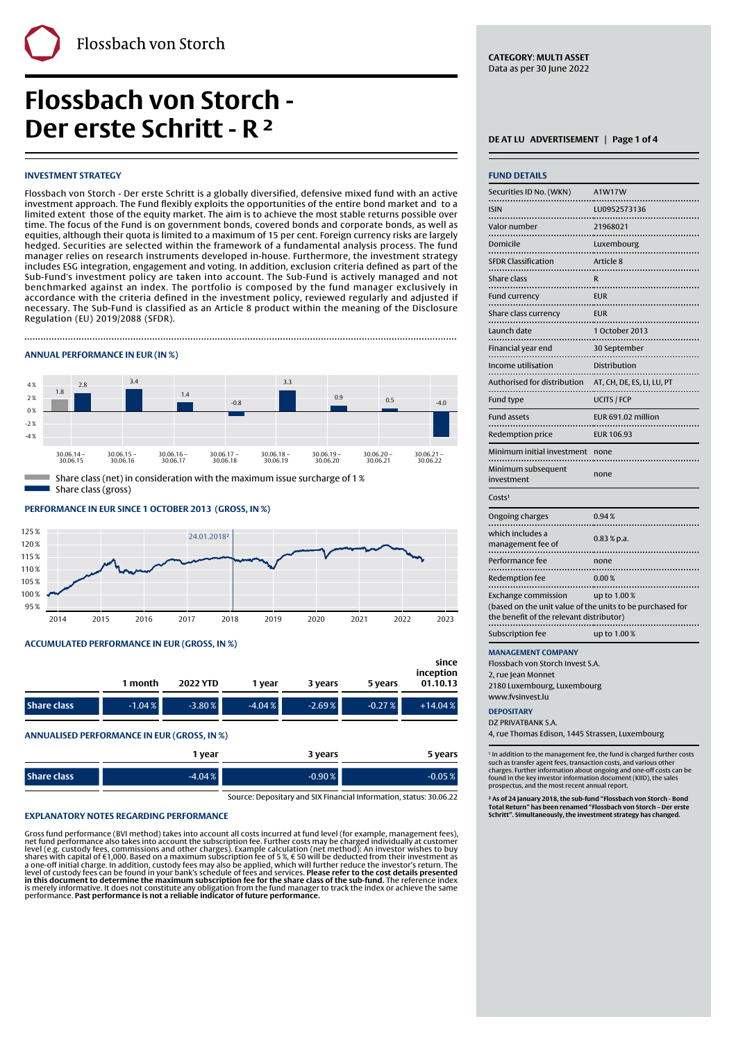# **Flossbach von Storch - Der erste Schritt - R <sup>2</sup> <u>DEAT LU ADVERTISEMENT | Page 1 of 4</u>**

# **INVESTMENT STRATEGY**

Flossbach von Storch - Der erste Schritt is a globally diversified, defensive mixed fund with an active investment approach. The Fund flexibly exploits the opportunities of the entire bond market and to a limited extent those of the equity market. The aim is to achieve the most stable returns possible over time. The focus of the Fund is on government bonds, covered bonds and corporate bonds, as well as equities, although their quota is limited to a maximum of 15 per cent. Foreign currency risks are largely hedged. Securities are selected within the framework of a fundamental analysis process. The fund manager relies on research instruments developed in-house. Furthermore, the investment strategy includes ESG integration, engagement and voting. In addition, exclusion criteria defined as part of the Sub-Fund's investment policy are taken into account. The Sub-Fund is actively managed and not benchmarked against an index. The portfolio is composed by the fund manager exclusively in accordance with the criteria defined in the investment policy, reviewed regularly and adjusted if necessary. The Sub-Fund is classified as an Article 8 product within the meaning of the Disclosure Regulation (EU) 2019/2088 (SFDR).

Finally, the contract of the contract of the contract of the contract of the contract of the contract of the c

# **ANNUAL PERFORMANCE IN EUR (IN %)**



Share class (net) in consideration with the maximum issue surcharge of 1 % Share class (gross)

**PERFORMANCE IN EUR SINCE 1 OCTOBER 2013' (GROSS, IN %)**



# **ACCUMULATED PERFORMANCE IN EUR (GROSS, IN %)**

|                    | 1 month  | 2022 YTD | 1 vear   | 3 years  | 5 years  | since<br>inception<br>01.10.13 |
|--------------------|----------|----------|----------|----------|----------|--------------------------------|
| <b>Share class</b> | $-1.04%$ | $-3.80%$ | $-4.04%$ | $-2.69%$ | $-0.27%$ | $+14.04%$                      |

**ANNUALISED PERFORMANCE IN EUR (GROSS, IN %)**

|             | 1 year   | 3 years  | 5 years  |
|-------------|----------|----------|----------|
| Share class | $-4.04%$ | $-0.90%$ | $-0.05%$ |

Source: Depositary and SIX Financial Information, status: 30.06.22

#### **EXPLANATORY NOTES REGARDING PERFORMANCE**

Gross fund performance (BVI method) takes into account all costs incurred at fund level (for example, management fees), net fund performance also takes into account the subscription fee. Further costs may be charged individually at customer<br>level (e.g. custody fees, commissions and other charges). Example calculation (net method): An inves **in this document to determine the maximum subscription fee for the share class of the sub-fund.** The reference index<br>is merely informative. It does not constitute any obligation from the fund manager to track the index or

**CATEGORY**: **MULTI ASSET** Data as per 30 June 2022

| <b>FUND DETAILS</b>                                                                                                                 |                            |
|-------------------------------------------------------------------------------------------------------------------------------------|----------------------------|
| Securities ID No. (WKN)                                                                                                             | A1W17W                     |
| <b>ISIN</b>                                                                                                                         | LU0952573136               |
| .<br>Valor number<br>.                                                                                                              | 21968021                   |
| Domicile<br>.                                                                                                                       | Luxembourg                 |
| <b>SFDR Classification</b>                                                                                                          | Article 8                  |
| Share class<br>                                                                                                                     | R                          |
| <b>Fund currency</b>                                                                                                                | <b>FUR</b>                 |
| Share class currency                                                                                                                | <b>EUR</b>                 |
| Launch date<br>.                                                                                                                    | 1 October 2013             |
| Financial year end                                                                                                                  | 30 September               |
| Income utilisation<br>                                                                                                              | Distribution               |
| Authorised for distribution                                                                                                         | AT, CH, DE, ES, LI, LU, PT |
| Fund type                                                                                                                           | UCITS / FCP                |
| <b>Fund assets</b>                                                                                                                  | EUR 691.02 million         |
| Redemption price                                                                                                                    | <b>EUR 106.93</b>          |
| Minimum initial investment                                                                                                          | none                       |
| Minimum subsequent<br>investment                                                                                                    | none                       |
| Costs <sup>1</sup>                                                                                                                  |                            |
| Ongoing charges                                                                                                                     | 0.94%                      |
| which includes a<br>management fee of                                                                                               | $0.83 %$ p.a.              |
| Performance fee                                                                                                                     | none                       |
| Redemption fee                                                                                                                      | 0.00%                      |
| <b>Exchange commission</b><br>(based on the unit value of the units to be purchased for<br>the benefit of the relevant distributor) | up to 1.00%                |
| Subscription fee                                                                                                                    | up to 1.00%                |
| <b>MANAGEMENT COMPANY</b>                                                                                                           |                            |

**MANAGEMENT COMPANY**

Flossbach von Storch Invest S.A. 2, rue Jean Monnet

2180 Luxembourg, Luxembourg www.fvsinvest.lu

### **DEPOSITARY**

DZ PRIVATRANK S.A.

4, rue Thomas Edison, 1445 Strassen, Luxembourg

' In addition to the management fee, the fund is charged further costs<br>such as transfer agent fees, transaction costs, and various other charges. Further information about ongoing and one-off costs can be found in the key investor information document (KIID), the sales prospectus, and the most recent annual report.

**² As of 24 January 2018, the sub-fund "Flossbach von Storch - Bond Total Return" has been renamed "Flossbach von Storch – Der erste Schritt". Simultaneously, the investment strategy has changed.**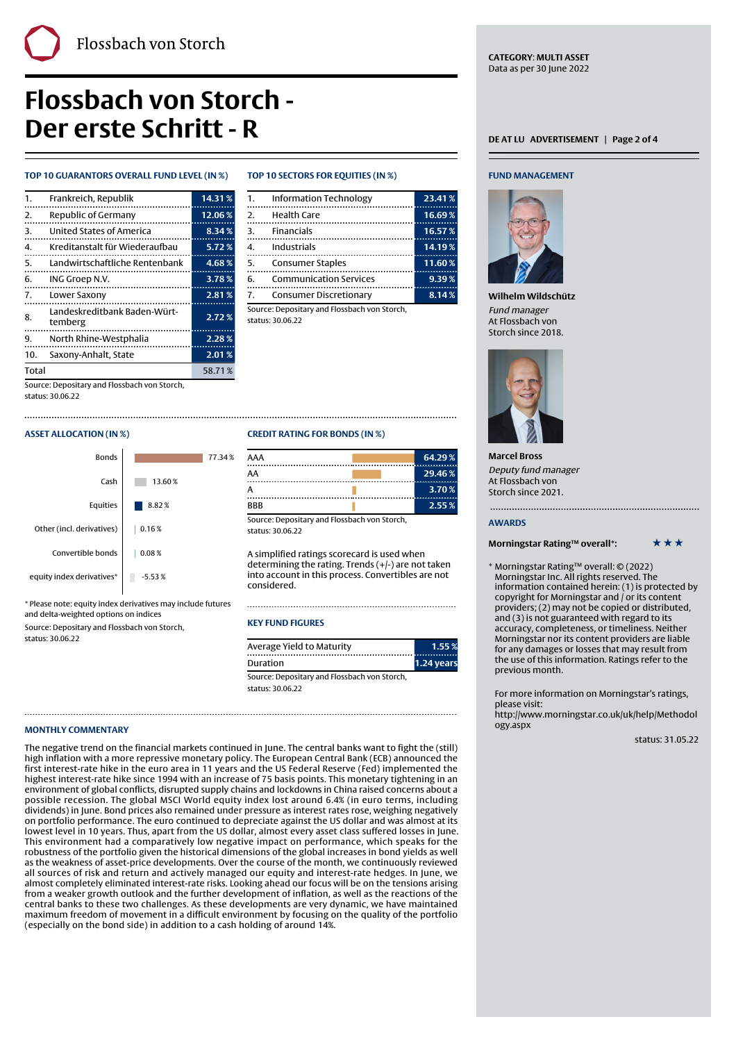# **Flossbach von Storch - Der erste Schritt - R DER AT LU BUSE AT LU ADVERTISEMENT** | Page 2 of 4

# **TOP 10 GUARANTORS OVERALL FUND LEVEL (IN %)**

| $\mathbf{1}$ . | Frankreich, Republik                    | 14.31% |
|----------------|-----------------------------------------|--------|
| 2.             | Republic of Germany                     | 12.06% |
| З.             | United States of America                | 8.34%  |
| 4.             | Kreditanstalt für Wiederaufbau          | 5.72%  |
| 5.             | Landwirtschaftliche Rentenbank          | 4.68%  |
| 6.             | ING Groep N.V.                          | 3.78%  |
| 7.             | Lower Saxony                            | 2.81%  |
| 8.             | Landeskreditbank Baden-Würt-<br>temberg | 2.72%  |
| 9.             | North Rhine-Westphalia                  | 2.28%  |
| 10.            | Saxony-Anhalt, State                    | 2.01%  |
| <b>Total</b>   |                                         | 58.71% |

Source: Depositary and Flossbach von Storch,

status: 30.06.22

# **ASSET ALLOCATION (IN %)**



\* Please note: equity index derivatives may include futures and delta-weighted options on indices

Source: Depositary and Flossbach von Storch, status: 30.06.22

# **TOP 10 SECTORS FOR EQUITIES (IN %)**

Finally, the contract of the contract of the contract of the contract of the contract of the contract of the c

| 1.                    | <b>Information Technology</b> | 23.41% |
|-----------------------|-------------------------------|--------|
| $\mathcal{P}_{\cdot}$ | <b>Health Care</b>            | 16.69% |
| 3.                    | <b>Financials</b>             | 16.57% |
|                       | Industrials                   | 14.19% |
| 5.                    | <b>Consumer Staples</b>       | 11.60% |
| 6.                    | <b>Communication Services</b> | 9.39%  |
| $\mathbf{7}$          | Consumer Discretionary        | 8.14%  |

Source: Depositary and Flossbach von Storch, status: 30.06.22

# **CREDIT RATING FOR BONDS (IN %)**

| AAA | 64.29% |
|-----|--------|
| AA  | 29.46% |
| А   | 3.70%  |
| BBB | 2.55%  |

Source: Depositary and Flossbach von Storch, status: 30.06.22

A simplified ratings scorecard is used when determining the rating. Trends (+/-) are not taken into account in this process. Convertibles are not considered.

# **KEY FUND FIGURES**

| Average Yield to Maturity                    | 1.55%      |
|----------------------------------------------|------------|
| Duration                                     | 1.24 years |
| Source: Depositary and Flossbach von Storch, |            |

status: 30.06.22

# **MONTHLY COMMENTARY**

The negative trend on the financial markets continued in June. The central banks want to fight the (still) high inflation with a more repressive monetary policy. The European Central Bank (ECB) announced the first interest-rate hike in the euro area in 11 years and the US Federal Reserve (Fed) implemented the highest interest-rate hike since 1994 with an increase of 75 basis points. This monetary tightening in an environment of global conflicts, disrupted supply chains and lockdowns in China raised concerns about a possible recession. The global MSCI World equity index lost around 6.4% (in euro terms, including dividends) in June. Bond prices also remained under pressure as interest rates rose, weighing negatively on portfolio performance. The euro continued to depreciate against the US dollar and was almost at its lowest level in 10 years. Thus, apart from the US dollar, almost every asset class suffered losses in June. This environment had a comparatively low negative impact on performance, which speaks for the robustness of the portfolio given the historical dimensions of the global increases in bond yields as well as the weakness of asset-price developments. Over the course of the month, we continuously reviewed all sources of risk and return and actively managed our equity and interest-rate hedges. In June, we almost completely eliminated interest-rate risks. Looking ahead our focus will be on the tensions arising from a weaker growth outlook and the further development of inflation, as well as the reactions of the central banks to these two challenges. As these developments are very dynamic, we have maintained maximum freedom of movement in a difficult environment by focusing on the quality of the portfolio (especially on the bond side) in addition to a cash holding of around 14%.

# **FUND MANAGEMENT**



**Wilhelm Wildschütz** Fund manager At Flossbach von Storch since 2018.



**Marcel Bross** Deputy fund manager At Flossbach von Storch since 2021.

#### **AWARDS**

# **Morningstar Rating™ overall\*:** \*\*\*\*\*\*

\* Morningstar Rating™ overall: © (2022) Morningstar Inc. All rights reserved. The information contained herein: (1) is protected by copyright for Morningstar and / or its content providers; (2) may not be copied or distributed, and (3) is not guaranteed with regard to its accuracy, completeness, or timeliness. Neither Morningstar nor its content providers are liable for any damages or losses that may result from the use of this information. Ratings refer to the previous month.

For more information on Morningstar's ratings, please visit:

[http://www.morningstar.co.uk/uk/help/Methodol](http://www.morningstar.co.uk/uk/help/Methodology.aspx) [ogy.aspx](http://www.morningstar.co.uk/uk/help/Methodology.aspx)

status: 31.05.22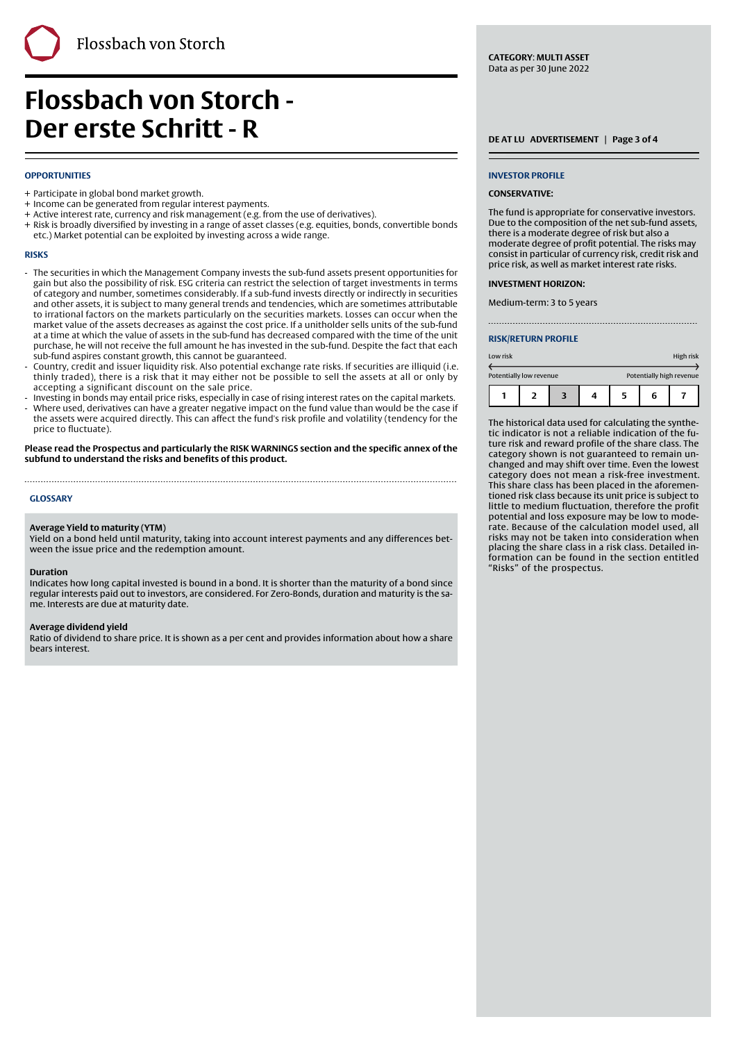**Flossbach von Storch - Der erste Schritt - R DERIFFER SCHRITTE SCHRITTENENT** | Page 3 of 4

## **OPPORTUNITIES**

- + Participate in global bond market growth.
- + Income can be generated from regular interest payments.
- + Active interest rate, currency and risk management (e.g. from the use of derivatives).
- + Risk is broadly diversified by investing in a range of asset classes (e.g. equities, bonds, convertible bonds etc.) Market potential can be exploited by investing across a wide range.

Finally, the contract of the contract of the contract of the contract of the contract of the contract of the c

#### **RISKS**

- The securities in which the Management Company invests the sub-fund assets present opportunities for gain but also the possibility of risk. ESG criteria can restrict the selection of target investments in terms of category and number, sometimes considerably. If a sub-fund invests directly or indirectly in securities and other assets, it is subject to many general trends and tendencies, which are sometimes attributable to irrational factors on the markets particularly on the securities markets. Losses can occur when the market value of the assets decreases as against the cost price. If a unitholder sells units of the sub-fund at a time at which the value of assets in the sub-fund has decreased compared with the time of the unit purchase, he will not receive the full amount he has invested in the sub-fund. Despite the fact that each sub-fund aspires constant growth, this cannot be guaranteed. -
- Country, credit and issuer liquidity risk. Also potential exchange rate risks. If securities are illiquid (i.e. thinly traded), there is a risk that it may either not be possible to sell the assets at all or only by accepting a significant discount on the sale price. -
- Investing in bonds may entail price risks, especially in case of rising interest rates on the capital markets.
- Where used, derivatives can have a greater negative impact on the fund value than would be the case if the assets were acquired directly. This can affect the fund's risk profile and volatility (tendency for the -

price to fluctuate). **Please read the Prospectus and particularly the RISK WARNINGS section and the specific annex of the subfund to understand the risks and benefits of this product.**

#### **GLOSSARY**

#### **Average Yield to maturity (YTM)**

Yield on a bond held until maturity, taking into account interest payments and any differences between the issue price and the redemption amount.

### **Duration**

Indicates how long capital invested is bound in a bond. It is shorter than the maturity of a bond since regular interests paid out to investors, are considered. For Zero-Bonds, duration and maturity is the same. Interests are due at maturity date.

#### **Average dividend yield**

Ratio of dividend to share price. It is shown as a per cent and provides information about how a share bears interest.

#### **INVESTOR PROFILE**

#### **CONSERVATIVE:**

The fund is appropriate for conservative investors. Due to the composition of the net sub-fund assets, there is a moderate degree of risk but also a moderate degree of profit potential. The risks may consist in particular of currency risk, credit risk and price risk, as well as market interest rate risks.

#### **INVESTMENT HORIZON:**

Medium-term: 3 to 5 years

#### **RISK/RETURN PROFILE**

| Low risk                |  |  |                          | High risk |  |
|-------------------------|--|--|--------------------------|-----------|--|
| Potentially low revenue |  |  | Potentially high revenue |           |  |
|                         |  |  | 5                        | 6         |  |

The historical data used for calculating the synthetic indicator is not a reliable indication of the future risk and reward profile of the share class. The category shown is not guaranteed to remain unchanged and may shift over time. Even the lowest category does not mean a risk-free investment. This share class has been placed in the aforementioned risk class because its unit price is subject to little to medium fluctuation, therefore the profit potential and loss exposure may be low to moderate. Because of the calculation model used, all risks may not be taken into consideration when placing the share class in a risk class. Detailed information can be found in the section entitled "Risks" of the prospectus.